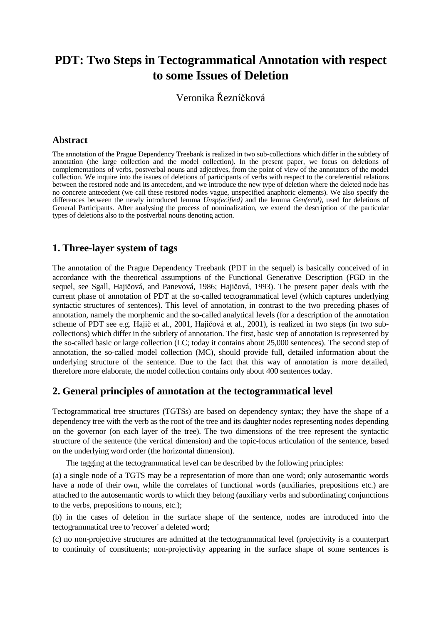# **PDT: Two Steps in Tectogrammatical Annotation with respect to some Issues of Deletion**

Veronika Řezníčková

#### **Abstract**

The annotation of the Prague Dependency Treebank is realized in two sub-collections which differ in the subtlety of annotation (the large collection and the model collection). In the present paper, we focus on deletions of complementations of verbs, postverbal nouns and adjectives, from the point of view of the annotators of the model collection. We inquire into the issues of deletions of participants of verbs with respect to the coreferential relations between the restored node and its antecedent, and we introduce the new type of deletion where the deleted node has no concrete antecedent (we call these restored nodes vague, unspecified anaphoric elements). We also specify the differences between the newly introduced lemma *Unsp(ecified)* and the lemma *Gen(eral)*, used for deletions of General Participants. After analysing the process of nominalization, we extend the description of the particular types of deletions also to the postverbal nouns denoting action.

## **1. Three-layer system of tags**

The annotation of the Prague Dependency Treebank (PDT in the sequel) is basically conceived of in accordance with the theoretical assumptions of the Functional Generative Description (FGD in the sequel, see Sgall, Hajičová, and Panevová, 1986; Hajičová, 1993). The present paper deals with the current phase of annotation of PDT at the so-called tectogrammatical level (which captures underlying syntactic structures of sentences). This level of annotation, in contrast to the two preceding phases of annotation, namely the morphemic and the so-called analytical levels (for a description of the annotation scheme of PDT see e.g. Hajič et al., 2001, Hajičová et al., 2001), is realized in two steps (in two subcollections) which differ in the subtlety of annotation. The first, basic step of annotation is represented by the so-called basic or large collection (LC; today it contains about 25,000 sentences). The second step of annotation, the so-called model collection (MC), should provide full, detailed information about the underlying structure of the sentence. Due to the fact that this way of annotation is more detailed, therefore more elaborate, the model collection contains only about 400 sentences today.

#### **2. General principles of annotation at the tectogrammatical level**

Tectogrammatical tree structures (TGTSs) are based on dependency syntax; they have the shape of a dependency tree with the verb as the root of the tree and its daughter nodes representing nodes depending on the governor (on each layer of the tree). The two dimensions of the tree represent the syntactic structure of the sentence (the vertical dimension) and the topic-focus articulation of the sentence, based on the underlying word order (the horizontal dimension).

The tagging at the tectogrammatical level can be described by the following principles:

(a) a single node of a TGTS may be a representation of more than one word; only autosemantic words have a node of their own, while the correlates of functional words (auxiliaries, prepositions etc.) are attached to the autosemantic words to which they belong (auxiliary verbs and subordinating conjunctions to the verbs, prepositions to nouns, etc.);

(b) in the cases of deletion in the surface shape of the sentence, nodes are introduced into the tectogrammatical tree to 'recover' a deleted word;

(c) no non-projective structures are admitted at the tectogrammatical level (projectivity is a counterpart to continuity of constituents; non-projectivity appearing in the surface shape of some sentences is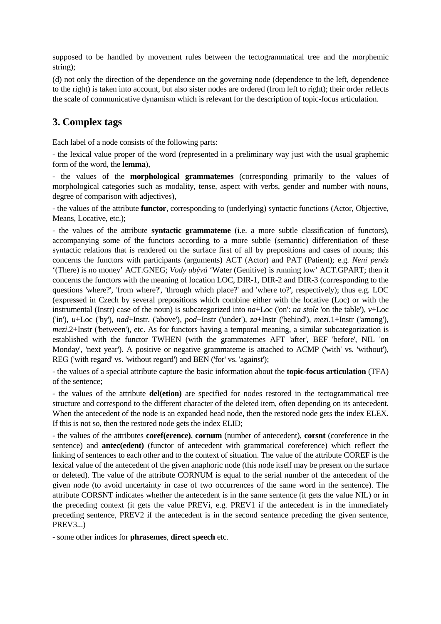supposed to be handled by movement rules between the tectogrammatical tree and the morphemic string);

(d) not only the direction of the dependence on the governing node (dependence to the left, dependence to the right) is taken into account, but also sister nodes are ordered (from left to right); their order reflects the scale of communicative dynamism which is relevant for the description of topic-focus articulation.

# **3. Complex tags**

Each label of a node consists of the following parts:

- the lexical value proper of the word (represented in a preliminary way just with the usual graphemic form of the word, the **lemma**),

- the values of the **morphological grammatemes** (corresponding primarily to the values of morphological categories such as modality, tense, aspect with verbs, gender and number with nouns, degree of comparison with adjectives),

- the values of the attribute **functor**, corresponding to (underlying) syntactic functions (Actor, Objective, Means, Locative, etc.);

- the values of the attribute **syntactic grammateme** (i.e. a more subtle classification of functors), accompanying some of the functors according to a more subtle (semantic) differentiation of these syntactic relations that is rendered on the surface first of all by prepositions and cases of nouns; this concerns the functors with participants (arguments) ACT (Actor) and PAT (Patient); e.g. *Není pen*ě*z*  '(There) is no money' ACT.GNEG; *Vody ubývá* 'Water (Genitive) is running low' ACT.GPART; then it concerns the functors with the meaning of location LOC, DIR-1, DIR-2 and DIR-3 (corresponding to the questions 'where?', 'from where?', 'through which place?' and 'where to?', respectively); thus e.g. LOC (expressed in Czech by several prepositions which combine either with the locative (Loc) or with the instrumental (Instr) case of the noun) is subcategorized into *na*+Loc ('on': *na stole* 'on the table'), *v*+Loc ('in'), *u*+Loc ('by'), *nad*+Instr. ('above'), *pod*+Instr ('under'), *za*+Instr ('behind'), *mezi*.1+Instr ('among'), *mezi*.2+Instr ('between'), etc. As for functors having a temporal meaning, a similar subcategorization is established with the functor TWHEN (with the grammatemes AFT 'after', BEF 'before', NIL 'on Monday', 'next year'). A positive or negative grammateme is attached to ACMP ('with' vs. 'without'), REG ('with regard' vs. 'without regard') and BEN ('for' vs. 'against');

- the values of a special attribute capture the basic information about the **topic-focus articulation** (TFA) of the sentence;

- the values of the attribute **del(etion)** are specified for nodes restored in the tectogrammatical tree structure and correspond to the different character of the deleted item, often depending on its antecedent. When the antecedent of the node is an expanded head node, then the restored node gets the index ELEX. If this is not so, then the restored node gets the index ELID;

- the values of the attributes **coref(erence)**, **cornum** (number of antecedent), **corsnt** (coreference in the sentence) and **antec(edent)** (functor of antecedent with grammatical coreference) which reflect the linking of sentences to each other and to the context of situation. The value of the attribute COREF is the lexical value of the antecedent of the given anaphoric node (this node itself may be present on the surface or deleted). The value of the attribute CORNUM is equal to the serial number of the antecedent of the given node (to avoid uncertainty in case of two occurrences of the same word in the sentence). The attribute CORSNT indicates whether the antecedent is in the same sentence (it gets the value NIL) or in the preceding context (it gets the value PREVi, e.g. PREV1 if the antecedent is in the immediately preceding sentence, PREV2 if the antecedent is in the second sentence preceding the given sentence, PREV3...)

- some other indices for **phrasemes**, **direct speech** etc.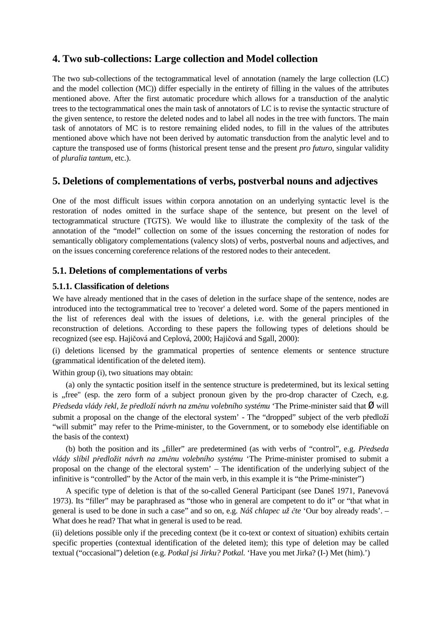# **4. Two sub-collections: Large collection and Model collection**

The two sub-collections of the tectogrammatical level of annotation (namely the large collection (LC) and the model collection (MC)) differ especially in the entirety of filling in the values of the attributes mentioned above. After the first automatic procedure which allows for a transduction of the analytic trees to the tectogrammatical ones the main task of annotators of LC is to revise the syntactic structure of the given sentence, to restore the deleted nodes and to label all nodes in the tree with functors. The main task of annotators of MC is to restore remaining elided nodes, to fill in the values of the attributes mentioned above which have not been derived by automatic transduction from the analytic level and to capture the transposed use of forms (historical present tense and the present *pro futuro*, singular validity of *pluralia tantum*, etc.).

## **5. Deletions of complementations of verbs, postverbal nouns and adjectives**

One of the most difficult issues within corpora annotation on an underlying syntactic level is the restoration of nodes omitted in the surface shape of the sentence, but present on the level of tectogrammatical structure (TGTS). We would like to illustrate the complexity of the task of the annotation of the "model" collection on some of the issues concerning the restoration of nodes for semantically obligatory complementations (valency slots) of verbs, postverbal nouns and adjectives, and on the issues concerning coreference relations of the restored nodes to their antecedent.

## **5.1. Deletions of complementations of verbs**

## **5.1.1. Classification of deletions**

We have already mentioned that in the cases of deletion in the surface shape of the sentence, nodes are introduced into the tectogrammatical tree to 'recover' a deleted word. Some of the papers mentioned in the list of references deal with the issues of deletions, i.e. with the general principles of the reconstruction of deletions. According to these papers the following types of deletions should be recognized (see esp. Hajičová and Ceplová, 2000; Hajičová and Sgall, 2000):

(i) deletions licensed by the grammatical properties of sentence elements or sentence structure (grammatical identification of the deleted item).

Within group (i), two situations may obtain:

 (a) only the syntactic position itself in the sentence structure is predetermined, but its lexical setting is ...free" (esp. the zero form of a subject pronoun given by the pro-drop character of Czech, e.g. *P*ř*edseda vlády* ř*ekl, že p*ř*edloží návrh na zm*ě*nu volebního systému* 'The Prime-minister said that Ø will submit a proposal on the change of the electoral system' - The "dropped" subject of the verb předloží "will submit" may refer to the Prime-minister, to the Government, or to somebody else identifiable on the basis of the context)

(b) both the position and its "filler" are predetermined (as with verbs of "control", e.g. *Předseda vlády slíbil p*ř*edložit návrh na zm*ě*nu volebního systému* 'The Prime-minister promised to submit a proposal on the change of the electoral system' – The identification of the underlying subject of the infinitive is "controlled" by the Actor of the main verb, in this example it is "the Prime-minister")

 A specific type of deletion is that of the so-called General Participant (see Daneš 1971, Panevová 1973). Its "filler" may be paraphrased as "those who in general are competent to do it" or "that what in general is used to be done in such a case" and so on, e.g. *Náš chlapec už* č*te* 'Our boy already reads'. – What does he read? That what in general is used to be read.

(ii) deletions possible only if the preceding context (be it co-text or context of situation) exhibits certain specific properties (contextual identification of the deleted item); this type of deletion may be called textual ("occasional") deletion (e.g. *Potkal jsi Jirku? Potkal.* 'Have you met Jirka? (I-) Met (him).')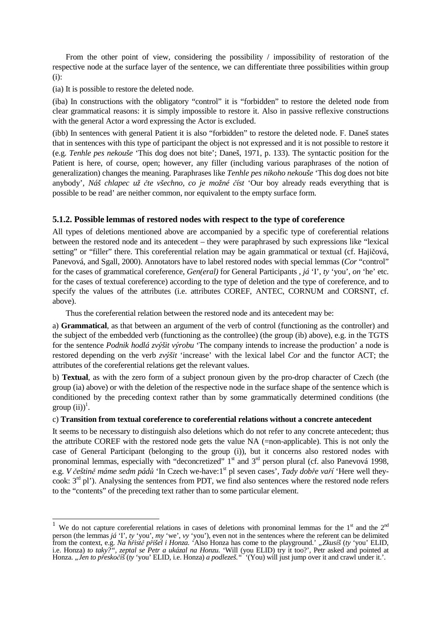From the other point of view, considering the possibility / impossibility of restoration of the respective node at the surface layer of the sentence, we can differentiate three possibilities within group (i):

(ia) It is possible to restore the deleted node.

 $\overline{\phantom{a}}$ 

(iba) In constructions with the obligatory "control" it is "forbidden" to restore the deleted node from clear grammatical reasons: it is simply impossible to restore it. Also in passive reflexive constructions with the general Actor a word expressing the Actor is excluded.

(ibb) In sentences with general Patient it is also "forbidden" to restore the deleted node. F. Daneš states that in sentences with this type of participant the object is not expressed and it is not possible to restore it (e.g. *Tenhle pes nekouše* 'This dog does not bite'; Daneš, 1971, p. 133). The syntactic position for the Patient is here, of course, open; however, any filler (including various paraphrases of the notion of generalization) changes the meaning. Paraphrases like *Tenhle pes nikoho nekouše* 'This dog does not bite anybody', *Náš chlapec už* č*te všechno, co je možné* č*íst* 'Our boy already reads everything that is possible to be read' are neither common, nor equivalent to the empty surface form.

## **5.1.2. Possible lemmas of restored nodes with respect to the type of coreference**

All types of deletions mentioned above are accompanied by a specific type of coreferential relations between the restored node and its antecedent – they were paraphrased by such expressions like "lexical setting" or "filler" there. This coreferential relation may be again grammatical or textual (cf. Hajičová, Panevová, and Sgall, 2000). Annotators have to label restored nodes with special lemmas (*Cor* "control" for the cases of grammatical coreference, *Gen(eral)* for General Participants , *já* 'I', *ty* 'you', *on* 'he' etc. for the cases of textual coreference) according to the type of deletion and the type of coreference, and to specify the values of the attributes (i.e. attributes COREF, ANTEC, CORNUM and CORSNT, cf. above).

Thus the coreferential relation between the restored node and its antecedent may be:

a) **Grammatical**, as that between an argument of the verb of control (functioning as the controller) and the subject of the embedded verb (functioning as the controllee) (the group (ib) above), e.g. in the TGTS for the sentence *Podnik hodlá zvýšit výrobu* 'The company intends to increase the production' a node is restored depending on the verb *zvýšit* 'increase' with the lexical label *Cor* and the functor ACT; the attributes of the coreferential relations get the relevant values.

b) **Textual**, as with the zero form of a subject pronoun given by the pro-drop character of Czech (the group (ia) above) or with the deletion of the respective node in the surface shape of the sentence which is conditioned by the preceding context rather than by some grammatically determined conditions (the  $group (ii))^1$ .

#### c) **Transition from textual coreference to coreferential relations without a concrete antecedent**

It seems to be necessary to distinguish also deletions which do not refer to any concrete antecedent; thus the attribute COREF with the restored node gets the value NA (=non-applicable). This is not only the case of General Participant (belonging to the group (i)), but it concerns also restored nodes with pronominal lemmas, especially with "deconcretized"  $1<sup>st</sup>$  and  $3<sup>rd</sup>$  person plural (cf. also Panevová 1998, e.g. *V češtině máme sedm pádů* 'In Czech we-have:1<sup>st</sup> pl seven cases', *Tady dobře vaří* 'Here well theycook: 3rd pl'). Analysing the sentences from PDT, we find also sentences where the restored node refers to the "contents" of the preceding text rather than to some particular element.

<sup>&</sup>lt;sup>1</sup> We do not capture coreferential relations in cases of deletions with pronominal lemmas for the 1<sup>st</sup> and the 2<sup>nd</sup> person (the lemmas *já* 'I', *ty* 'you', *my* 'we', *vy* 'you'), even not in the sentences where the referent can be delimited from the context, e.g. Na hřistě přišel i Honza. 'Also Honza has come to the playground.' "Zkus i.e. Honza) to taky?", zeptal se Petr a ukázal na Honzu. 'Will (you ELID) try it too?', Petr asked and pointed at<br>Honza. "Jen to přeskočíš (ty 'you' ELID, i.e. Honza) a podlezeš." '(You) will just jump over it and crawl un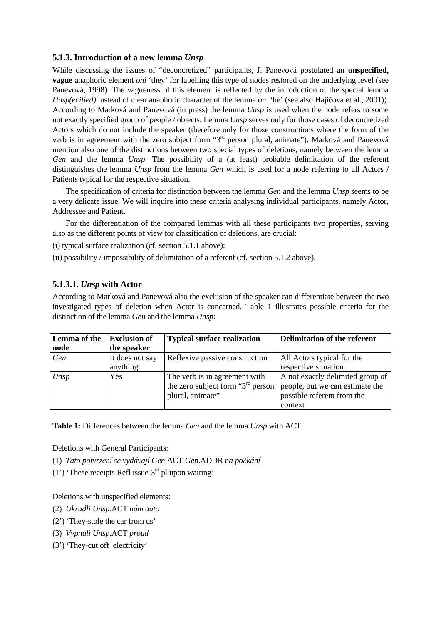#### **5.1.3. Introduction of a new lemma** *Unsp*

While discussing the issues of "deconcretized" participants, J. Panevová postulated an **unspecified, vague** anaphoric element *oni* 'they' for labelling this type of nodes restored on the underlying level (see Panevová, 1998). The vagueness of this element is reflected by the introduction of the special lemma *Unsp(ecified)* instead of clear anaphoric character of the lemma *on* 'he' (see also Hajičová et al., 2001)). According to Marková and Panevová (in press) the lemma *Unsp* is used when the node refers to some not exactly specified group of people / objects. Lemma *Unsp* serves only for those cases of deconcretized Actors which do not include the speaker (therefore only for those constructions where the form of the verb is in agreement with the zero subject form "3<sup>rd</sup> person plural, animate"). Marková and Panevová mention also one of the distinctions between two special types of deletions, namely between the lemma *Gen* and the lemma *Unsp*: The possibility of a (at least) probable delimitation of the referent distinguishes the lemma *Unsp* from the lemma *Gen* which is used for a node referring to all Actors / Patients typical for the respective situation.

 The specification of criteria for distinction between the lemma *Gen* and the lemma *Unsp* seems to be a very delicate issue. We will inquire into these criteria analysing individual participants, namely Actor, Addressee and Patient.

 For the differentiation of the compared lemmas with all these participants two properties, serving also as the different points of view for classification of deletions, are crucial:

(i) typical surface realization (cf. section 5.1.1 above);

(ii) possibility / impossibility of delimitation of a referent (cf. section 5.1.2 above).

#### **5.1.3.1.** *Unsp* **with Actor**

According to Marková and Panevová also the exclusion of the speaker can differentiate between the two investigated types of deletion when Actor is concerned. Table 1 illustrates possible criteria for the distinction of the lemma *Gen* and the lemma *Unsp*:

| Lemma of the | <b>Exclusion of</b> | <b>Typical surface realization</b>   | <b>Delimitation of the referent</b> |
|--------------|---------------------|--------------------------------------|-------------------------------------|
| node         | the speaker         |                                      |                                     |
| Gen          | It does not say     | Reflexive passive construction       | All Actors typical for the          |
|              | anything            |                                      | respective situation                |
| Unsp         | Yes                 | The verb is in agreement with        | A not exactly delimited group of    |
|              |                     | the zero subject form " $3rd$ person | people, but we can estimate the     |
|              |                     | plural, animate"                     | possible referent from the          |
|              |                     |                                      | context                             |

**Table 1:** Differences between the lemma *Gen* and the lemma *Unsp* with ACT

Deletions with General Participants:

- (1) *Tato potvrzení se vydávají Gen*.ACT *Gen*.ADDR *na po*č*kání*
- (1') 'These receipts Refl issue- $3<sup>rd</sup>$  pl upon waiting'

Deletions with unspecified elements:

- (2) *Ukradli Unsp*.ACT *nám auto*
- (2') 'They-stole the car from us'
- (3) *Vypnuli Unsp*.ACT *proud*
- (3') 'They-cut off electricity'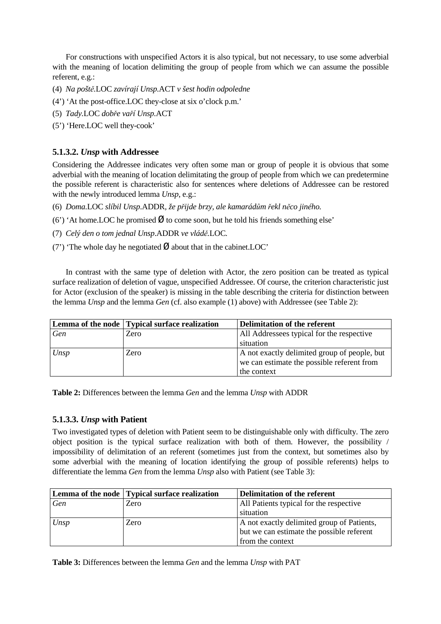For constructions with unspecified Actors it is also typical, but not necessary, to use some adverbial with the meaning of location delimiting the group of people from which we can assume the possible referent, e.g.:

- (4) *Na pošt*ě*.*LOC *zavírají Unsp.*ACT *v šest hodin odpoledne*
- (4') 'At the post-office.LOC they-close at six o'clock p.m.'
- (5) *Tady.*LOC *dob*ř*e va*ř*í Unsp.*ACT
- (5') 'Here.LOC well they-cook'

## **5.1.3.2.** *Unsp* **with Addressee**

Considering the Addressee indicates very often some man or group of people it is obvious that some adverbial with the meaning of location delimitating the group of people from which we can predetermine the possible referent is characteristic also for sentences where deletions of Addressee can be restored with the newly introduced lemma *Unsp*, e.g.:

- (6) *Doma.*LOC *slíbil Unsp*.ADDR*, že p*ř*ijde brzy, ale kamarád*ů*m* ř*ekl n*ě*co jiného.*
- (6') 'At home. LOC he promised  $\varnothing$  to come soon, but he told his friends something else'
- (7) *Celý den o tom jednal Unsp*.ADDR *ve vlád*ě*.*LOC*.*
- (7) The whole day he negotiated  $\varnothing$  about that in the cabinet. LOC'

 In contrast with the same type of deletion with Actor, the zero position can be treated as typical surface realization of deletion of vague, unspecified Addressee. Of course, the criterion characteristic just for Actor (exclusion of the speaker) is missing in the table describing the criteria for distinction between the lemma *Unsp* and the lemma *Gen* (cf. also example (1) above) with Addressee (see Table 2):

|            | Lemma of the node Typical surface realization | Delimitation of the referent                 |
|------------|-----------------------------------------------|----------------------------------------------|
| <b>Gen</b> | Zero                                          | All Addressees typical for the respective    |
|            |                                               | situation                                    |
| Unsp       | Zero                                          | A not exactly delimited group of people, but |
|            |                                               | we can estimate the possible referent from   |
|            |                                               | the context                                  |

**Table 2:** Differences between the lemma *Gen* and the lemma *Unsp* with ADDR

## **5.1.3.3.** *Unsp* **with Patient**

Two investigated types of deletion with Patient seem to be distinguishable only with difficulty. The zero object position is the typical surface realization with both of them. However, the possibility / impossibility of delimitation of an referent (sometimes just from the context, but sometimes also by some adverbial with the meaning of location identifying the group of possible referents) helps to differentiate the lemma *Gen* from the lemma *Unsp* also with Patient (see Table 3):

|      | Lemma of the node   Typical surface realization | Delimitation of the referent               |
|------|-------------------------------------------------|--------------------------------------------|
| Gen  | Zero                                            | All Patients typical for the respective    |
|      |                                                 | situation                                  |
| Unsp | Zero                                            | A not exactly delimited group of Patients, |
|      |                                                 | but we can estimate the possible referent  |
|      |                                                 | from the context                           |

**Table 3:** Differences between the lemma *Gen* and the lemma *Unsp* with PAT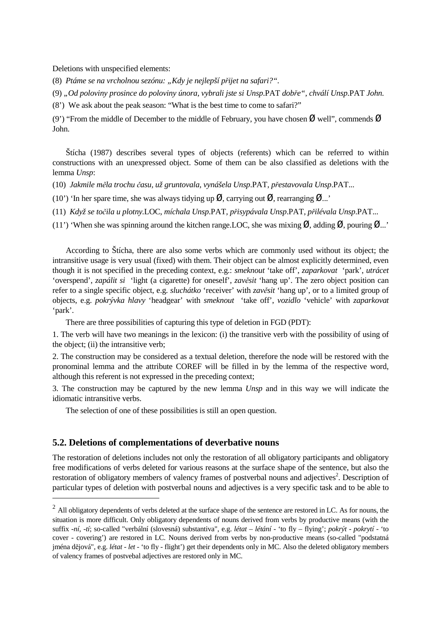Deletions with unspecified elements:

(8) *Ptáme se na vrcholnou sezónu: "Kdy je nejlepší p*ř*ijet na safari?".* 

(9) *"Od poloviny prosince do poloviny února, vybrali jste si Unsp*.PAT *dob*ř*e", chválí Unsp*.PAT *John.*

(8') We ask about the peak season: "What is the best time to come to safari?"

(9') "From the middle of December to the middle of February, you have chosen  $\emptyset$  well", commends  $\emptyset$ John.

 Štícha (1987) describes several types of objects (referents) which can be referred to within constructions with an unexpressed object. Some of them can be also classified as deletions with the lemma *Unsp*:

(10) *Jakmile m*ě*la trochu* č*asu, už gruntovala, vynášela Unsp*.PAT, *p*ř*estavovala Unsp*.PAT...

(10') 'In her spare time, she was always tidying up  $\emptyset$ , carrying out  $\emptyset$ , rearranging  $\emptyset$ ...'

(11) *Když se to*č*ila u plotny.*LOC*, míchala Unsp*.PAT*, p*ř*isypávala Unsp*.PAT*, p*ř*ilévala Unsp*.PAT...

(11') 'When she was spinning around the kitchen range. LOC, she was mixing  $\emptyset$ , adding  $\emptyset$ , pouring  $\emptyset$ ...'

 According to Štícha, there are also some verbs which are commonly used without its object; the intransitive usage is very usual (fixed) with them. Their object can be almost explicitly determined, even though it is not specified in the preceding context, e.g.: *smeknout* 'take off', *zaparkovat* 'park', *utrácet*  'overspend', *zapálit si* 'light (a cigarette) for oneself', *zav*ě*sit* 'hang up'. The zero object position can refer to a single specific object, e.g. *sluchátko* 'receiver' with *zav*ě*sit* 'hang up', or to a limited group of objects, e.g. *pokrývka hlavy* 'headgear' with *smeknout* 'take off', *vozidlo* 'vehicle' with *zaparkovat*  'park'.

There are three possibilities of capturing this type of deletion in FGD (PDT):

1. The verb will have two meanings in the lexicon: (i) the transitive verb with the possibility of using of the object; (ii) the intransitive verb;

2. The construction may be considered as a textual deletion, therefore the node will be restored with the pronominal lemma and the attribute COREF will be filled in by the lemma of the respective word, although this referent is not expressed in the preceding context;

3. The construction may be captured by the new lemma *Unsp* and in this way we will indicate the idiomatic intransitive verbs.

The selection of one of these possibilities is still an open question.

#### **5.2. Deletions of complementations of deverbative nouns**

 $\overline{a}$ 

The restoration of deletions includes not only the restoration of all obligatory participants and obligatory free modifications of verbs deleted for various reasons at the surface shape of the sentence, but also the restoration of obligatory members of valency frames of postverbal nouns and adjectives<sup>2</sup>. Description of particular types of deletion with postverbal nouns and adjectives is a very specific task and to be able to

 $2^2$  All obligatory dependents of verbs deleted at the surface shape of the sentence are restored in LC. As for nouns, the situation is more difficult. Only obligatory dependents of nouns derived from verbs by productive means (with the suffix *-ní, -tí*; so-called "verbální (slovesná) substantiva", e.g. *létat – létání* - 'to fly – flying'; *pokrýt - pokrytí* - 'to cover - covering') are restored in LC. Nouns derived from verbs by non-productive means (so-called "podstatná jména dějová", e.g. *létat - let* - 'to fly - flight') get their dependents only in MC. Also the deleted obligatory members of valency frames of postvebal adjectives are restored only in MC.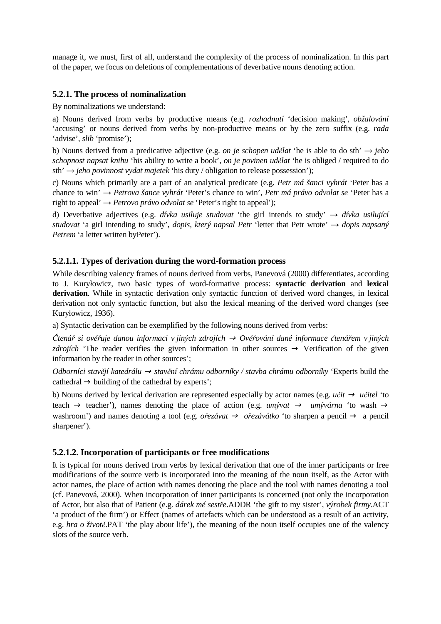manage it, we must, first of all, understand the complexity of the process of nominalization. In this part of the paper, we focus on deletions of complementations of deverbative nouns denoting action.

#### **5.2.1. The process of nominalization**

By nominalizations we understand:

a) Nouns derived from verbs by productive means (e.g. *rozhodnutí* 'decision making', *obžalování*  'accusing' or nouns derived from verbs by non-productive means or by the zero suffix (e.g. *rada*  'advise', *slib* 'promise');

b) Nouns derived from a predicative adjective (e.g. *on je schopen ud*ě*lat* 'he is able to do sth' → *jeho schopnost napsat knihu* 'his ability to write a book', *on je povinen ud*ě*lat* 'he is obliged / required to do sth' → *jeho povinnost vydat majetek* 'his duty / obligation to release possession');

c) Nouns which primarily are a part of an analytical predicate (e.g. *Petr má šanci vyhrát* 'Peter has a chance to win' → *Petrova šance vyhrát* 'Peter's chance to win', *Petr má právo odvolat se* 'Peter has a right to appeal' → *Petrovo právo odvolat se* 'Peter's right to appeal');

d) Deverbative adjectives (e.g. *dívka usiluje studovat* 'the girl intends to study' → *dívka usilující studovat* 'a girl intending to study', *dopis, který napsal Petr* 'letter that Petr wrote' → *dopis napsaný Petrem* 'a letter written byPeter').

#### **5.2.1.1. Types of derivation during the word-formation process**

While describing valency frames of nouns derived from verbs, Panevová (2000) differentiates, according to J. Kuryłowicz, two basic types of word-formative process: **syntactic derivation** and **lexical derivation**. While in syntactic derivation only syntactic function of derived word changes, in lexical derivation not only syntactic function, but also the lexical meaning of the derived word changes (see Kuryłowicz, 1936).

a) Syntactic derivation can be exemplified by the following nouns derived from verbs:

Č*tená*ř *si ov*ěř*uje danou informaci v jiných zdrojích* → *Ov*ěř*ování dané informace* č*tená*ř*em v jiných zdrojích* 'The reader verifies the given information in other sources → Verification of the given information by the reader in other sources';

*Odborníci stav*ě*jí katedrálu* → *stav*ě*ní chrámu odborníky / stavba chrámu odborníky* 'Experts build the  $cathedral \rightarrow building of the cathedral by experts'$ ;

b) Nouns derived by lexical derivation are represented especially by actor names (e.g. *učit*  $\rightarrow$  *učitel* 'to teach  $\rightarrow$  teacher'), names denoting the place of action (e.g. *umývat*  $\rightarrow$  *umývárna* 'to wash  $\rightarrow$ washroom') and names denoting a tool (e.g. *o*ř*ezávat* → *o*ř*ezávátko* 'to sharpen a pencil → a pencil sharpener').

#### **5.2.1.2. Incorporation of participants or free modifications**

It is typical for nouns derived from verbs by lexical derivation that one of the inner participants or free modifications of the source verb is incorporated into the meaning of the noun itself, as the Actor with actor names, the place of action with names denoting the place and the tool with names denoting a tool (cf. Panevová, 2000). When incorporation of inner participants is concerned (not only the incorporation of Actor, but also that of Patient (e.g. *dárek mé sest*ř*e*.ADDR 'the gift to my sister', *výrobek firmy*.ACT 'a product of the firm') or Effect (names of artefacts which can be understood as a result of an activity, e.g. *hra o život*ě.PAT 'the play about life'), the meaning of the noun itself occupies one of the valency slots of the source verb.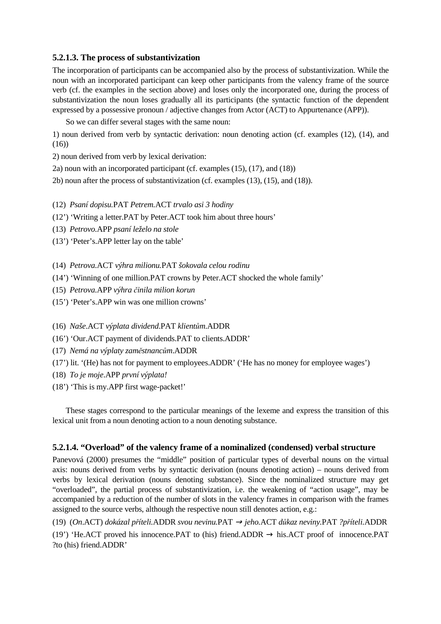#### **5.2.1.3. The process of substantivization**

The incorporation of participants can be accompanied also by the process of substantivization. While the noun with an incorporated participant can keep other participants from the valency frame of the source verb (cf. the examples in the section above) and loses only the incorporated one, during the process of substantivization the noun loses gradually all its participants (the syntactic function of the dependent expressed by a possessive pronoun / adjective changes from Actor (ACT) to Appurtenance (APP)).

So we can differ several stages with the same noun:

1) noun derived from verb by syntactic derivation: noun denoting action (cf. examples (12), (14), and (16))

2) noun derived from verb by lexical derivation:

- 2a) noun with an incorporated participant (cf. examples (15), (17), and (18))
- 2b) noun after the process of substantivization (cf. examples (13), (15), and (18)).

(12) *Psaní dopisu.*PAT *Petrem.*ACT *trvalo asi 3 hodiny*

- (12') 'Writing a letter.PAT by Peter.ACT took him about three hours'
- (13) *Petrovo.*APP *psaní leželo na stole*
- (13') 'Peter's.APP letter lay on the table'

(14) *Petrova.*ACT *výhra milionu.*PAT *šokovala celou rodinu*

- (14') 'Winning of one million.PAT crowns by Peter.ACT shocked the whole family'
- (15) *Petrova.*APP *výhra* č*inila milion korun*
- (15') 'Peter's.APP win was one million crowns'

(16) *Naše*.ACT *výplata dividend*.PAT *klient*ů*m*.ADDR

- (16') 'Our.ACT payment of dividends.PAT to clients.ADDR'
- (17) *Nemá na výplaty zam*ě*stnanc*ů*m*.ADDR
- (17') lit. '(He) has not for payment to employees.ADDR' ('He has no money for employee wages')
- (18) *To je moje*.APP *první výplata!*
- (18') 'This is my.APP first wage-packet!'

 These stages correspond to the particular meanings of the lexeme and express the transition of this lexical unit from a noun denoting action to a noun denoting substance.

#### **5.2.1.4. "Overload" of the valency frame of a nominalized (condensed) verbal structure**

Panevová (2000) presumes the "middle" position of particular types of deverbal nouns on the virtual axis: nouns derived from verbs by syntactic derivation (nouns denoting action) – nouns derived from verbs by lexical derivation (nouns denoting substance). Since the nominalized structure may get "overloaded", the partial process of substantivization, i.e. the weakening of "action usage", may be accompanied by a reduction of the number of slots in the valency frames in comparison with the frames assigned to the source verbs, although the respective noun still denotes action, e.g.:

(19) (*On*.ACT) *dokázal p*ř*íteli.*ADDR *svou nevinu.*PAT <sup>→</sup> *jeho.*ACT *d*ů*kaz neviny.*PAT *?p*ř*íteli.*ADDR (19') 'He.ACT proved his innocence.PAT to (his) friend.ADDR  $\rightarrow$  his.ACT proof of innocence.PAT ?to (his) friend.ADDR'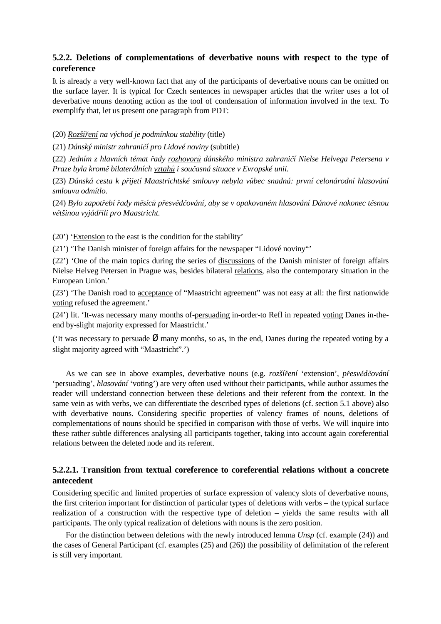## **5.2.2. Deletions of complementations of deverbative nouns with respect to the type of coreference**

It is already a very well-known fact that any of the participants of deverbative nouns can be omitted on the surface layer. It is typical for Czech sentences in newspaper articles that the writer uses a lot of deverbative nouns denoting action as the tool of condensation of information involved in the text. To exemplify that, let us present one paragraph from PDT:

(20) *Rozší*ř*ení na východ je podmínkou stability* (title)

(21) *Dánský ministr zahrani*č*í pro Lidové noviny* (subtitle)

(22) *Jedním z hlavních témat* ř*ady rozhovor*ů *dánského ministra zahrani*č*í Nielse Helvega Petersena v Praze byla krom*ě *bilaterálních vztah*ů *i sou*č*asná situace v Evropské unii.* 

(23) *Dánská cesta k p*ř*ijetí Maastrichtské smlouvy nebyla v*ů*bec snadná: první celonárodní hlasování smlouvu odmítlo.* 

(24) *Bylo zapot*ř*ebí* ř*ady m*ě*síc*ů *p*ř*esv*ě*d*č*ování, aby se v opakovaném hlasování Dánové nakonec t*ě*snou v*ě*tšinou vyjád*ř*ili pro Maastricht.* 

(20') 'Extension to the east is the condition for the stability'

(21') 'The Danish minister of foreign affairs for the newspaper "Lidové noviny"'

(22') 'One of the main topics during the series of discussions of the Danish minister of foreign affairs Nielse Helveg Petersen in Prague was, besides bilateral relations, also the contemporary situation in the European Union.'

(23') 'The Danish road to acceptance of "Maastricht agreement" was not easy at all: the first nationwide voting refused the agreement.'

(24') lit. 'It-was necessary many months of-persuading in-order-to Refl in repeated voting Danes in-theend by-slight majority expressed for Maastricht.'

('It was necessary to persuade  $\varnothing$  many months, so as, in the end, Danes during the repeated voting by a slight majority agreed with "Maastricht".')

 As we can see in above examples, deverbative nouns (e.g. *rozší*ř*ení* 'extension', *p*ř*esv*ě*d*č*ování*  'persuading', *hlasování* 'voting') are very often used without their participants, while author assumes the reader will understand connection between these deletions and their referent from the context. In the same vein as with verbs, we can differentiate the described types of deletions (cf. section 5.1 above) also with deverbative nouns. Considering specific properties of valency frames of nouns, deletions of complementations of nouns should be specified in comparison with those of verbs. We will inquire into these rather subtle differences analysing all participants together, taking into account again coreferential relations between the deleted node and its referent.

## **5.2.2.1. Transition from textual coreference to coreferential relations without a concrete antecedent**

Considering specific and limited properties of surface expression of valency slots of deverbative nouns, the first criterion important for distinction of particular types of deletions with verbs – the typical surface realization of a construction with the respective type of deletion – yields the same results with all participants. The only typical realization of deletions with nouns is the zero position.

 For the distinction between deletions with the newly introduced lemma *Unsp* (cf. example (24)) and the cases of General Participant (cf. examples (25) and (26)) the possibility of delimitation of the referent is still very important.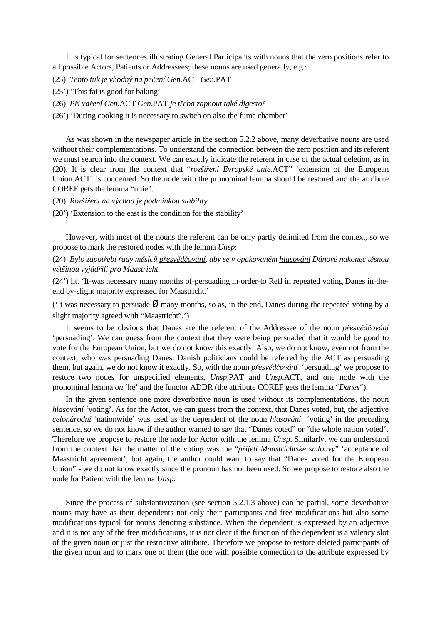It is typical for sentences illustrating General Participants with nouns that the zero positions refer to all possible Actors, Patients or Addressees; these nouns are used generally, e.g.:

- (25) *Tento tuk je vhodný na pe*č*ení Gen.*ACT *Gen.*PAT
- (25') 'This fat is good for baking'
- (26) *P*ř*i va*ř*ení Gen.*ACT *Gen*.PAT *je t*ř*eba zapnout také digesto*ř
- (26') 'During cooking it is necessary to switch on also the fume chamber'

 As was shown in the newspaper article in the section 5.2.2 above, many deverbative nouns are used without their complementations. To understand the connection between the zero position and its referent we must search into the context. We can exactly indicate the referent in case of the actual deletion, as in (20). It is clear from the context that "*rozší*ř*ení Evropské unie.*ACT" 'extension of the European Union.ACT' is concerned. So the node with the pronominal lemma should be restored and the attribute COREF gets the lemma "unie".

- (20) *Rozší*ř*ení na východ je podmínkou stability*
- (20') 'Extension to the east is the condition for the stability'

 However, with most of the nouns the referent can be only partly delimited from the context, so we propose to mark the restored nodes with the lemma *Unsp*:

(24) *Bylo zapot*ř*ebí* ř*ady m*ě*síc*ů *p*ř*esv*ě*d*č*ování, aby se v opakovaném hlasování Dánové nakonec t*ě*snou v*ě*tšinou vyjád*ř*ili pro Maastricht.* 

(24') lit. 'It-was necessary many months of-persuading in-order-to Refl in repeated voting Danes in-theend by-slight majority expressed for Maastricht.'

('It was necessary to persuade  $\emptyset$  many months, so as, in the end, Danes during the repeated voting by a slight majority agreed with "Maastricht".')

 It seems to be obvious that Danes are the referent of the Addressee of the noun *p*ř*esv*ě*d*č*ování*  'persuading'. We can guess from the context that they were being persuaded that it would be good to vote for the European Union, but we do not know this exactly. Also, we do not know, even not from the context, who was persuading Danes. Danish politicians could be referred by the ACT as persuading them, but again, we do not know it exactly. So, with the noun *p*ř*esv*ě*d*č*ování* 'persuading' we propose to restore two nodes for unspecified elements, *Unsp*.PAT and *Unsp*.ACT, and one node with the pronominal lemma *on* 'he' and the functor ADDR (the attribute COREF gets the lemma "*Danes*").

 In the given sentence one more deverbative noun is used without its complementations, the noun *hlasování* 'voting'. As for the Actor, we can guess from the context, that Danes voted, but, the adjective *celonárodní* 'nationwide' was used as the dependent of the noun *hlasování* 'voting' in the preceding sentence, so we do not know if the author wanted to say that "Danes voted" or "the whole nation voted". Therefore we propose to restore the node for Actor with the lemma *Unsp*. Similarly, we can understand from the context that the matter of the voting was the "*p*ř*ijetí Maastrichtské smlouvy*" 'acceptance of Maastricht agreement', but again, the author could want to say that "Danes voted for the European Union" - we do not know exactly since the pronoun has not been used. So we propose to restore also the node for Patient with the lemma *Unsp*.

 Since the process of substantivization (see section 5.2.1.3 above) can be partial, some deverbative nouns may have as their dependents not only their participants and free modifications but also some modifications typical for nouns denoting substance. When the dependent is expressed by an adjective and it is not any of the free modifications, it is not clear if the function of the dependent is a valency slot of the given noun or just the restrictive attribute. Therefore we propose to restore deleted participants of the given noun and to mark one of them (the one with possible connection to the attribute expressed by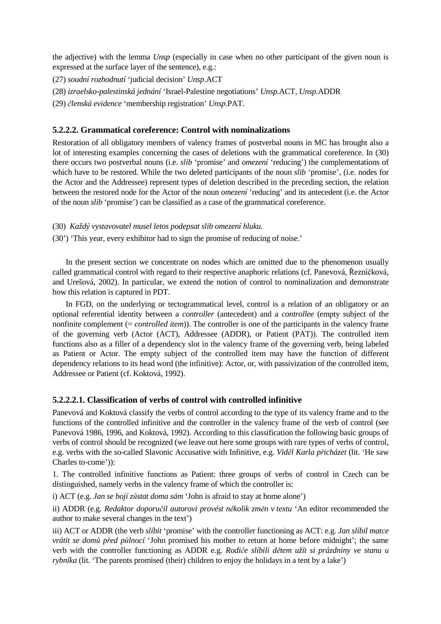the adjective) with the lemma *Unsp* (especially in case when no other participant of the given noun is expressed at the surface layer of the sentence), e.g.:

(27) *soudní rozhodnutí* 'judicial decision' *Unsp*.ACT

(28) *izraelsko-palestinská jednání* 'Israel-Palestine negotiations' *Unsp*.ACT, *Unsp*.ADDR

(29) č*lenská evidence* 'membership registration' *Unsp*.PAT.

#### **5.2.2.2. Grammatical coreference: Control with nominalizations**

Restoration of all obligatory members of valency frames of postverbal nouns in MC has brought also a lot of interesting examples concerning the cases of deletions with the grammatical coreference. In (30) there occurs two postverbal nouns (i.e. *slib* 'promise' and *omezení* 'reducing') the complementations of which have to be restored. While the two deleted participants of the noun *slib* 'promise', (i.e. nodes for the Actor and the Addressee) represent types of deletion described in the preceding section, the relation between the restored node for the Actor of the noun *omezení* 'reducing' and its antecedent (i.e. the Actor of the noun *slib* 'promise') can be classified as a case of the grammatical coreference.

(30) *Každý vystavovatel musel letos podepsat slib omezení hluku.*

(30') 'This year, every exhibitor had to sign the promise of reducing of noise.'

 In the present section we concentrate on nodes which are omitted due to the phenomenon usually called grammatical control with regard to their respective anaphoric relations (cf. Panevová, Řezníčková, and Urešová, 2002). In particular, we extend the notion of control to nominalization and demonstrate how this relation is captured in PDT.

 In FGD, on the underlying or tectogrammatical level, control is a relation of an obligatory or an optional referential identity between a *controller* (antecedent) and a *controllee* (empty subject of the nonfinite complement (= *controlled item*)). The controller is one of the participants in the valency frame of the governing verb (Actor (ACT), Addressee (ADDR), or Patient (PAT)). The controlled item functions also as a filler of a dependency slot in the valency frame of the governing verb, being labeled as Patient or Actor. The empty subject of the controlled item may have the function of different dependency relations to its head word (the infinitive): Actor, or, with passivization of the controlled item, Addressee or Patient (cf. Koktová, 1992).

#### **5.2.2.2.1. Classification of verbs of control with controlled infinitive**

Panevová and Koktová classify the verbs of control according to the type of its valency frame and to the functions of the controlled infinitive and the controller in the valency frame of the verb of control (see Panevová 1986, 1996, and Koktová, 1992). According to this classification the following basic groups of verbs of control should be recognized (we leave out here some groups with rare types of verbs of control, e.g. verbs with the so-called Slavonic Accusative with Infinitive, e.g. *Vid*ě*l Karla p*ř*icházet* (lit. 'He saw Charles to-come')):

1. The controlled infinitive functions as Patient: three groups of verbs of control in Czech can be distinguished, namely verbs in the valency frame of which the controller is:

i) ACT (e.g. *Jan se bojí z*ů*stat doma sám* 'John is afraid to stay at home alone')

ii) ADDR (e.g. *Redaktor doporu*č*il autorovi provést n*ě*kolik zm*ě*n v textu* 'An editor recommended the author to make several changes in the text')

iii) ACT or ADDR (the verb *slíbit* 'promise' with the controller functioning as ACT: e.g. *Jan slíbil matce vrátit se dom*ů *p*ř*ed p*ů*lnocí* 'John promised his mother to return at home before midnight'; the same verb with the controller functioning as ADDR e.g. *Rodi*č*e slíbili d*ě*tem užít si prázdniny ve stanu u rybníka* (lit. 'The parents promised (their) children to enjoy the holidays in a tent by a lake')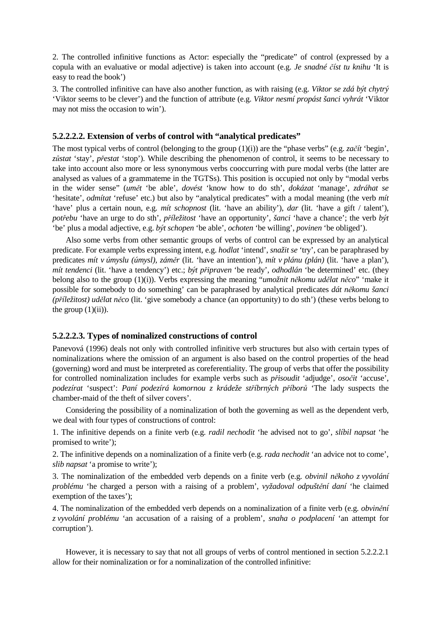2. The controlled infinitive functions as Actor: especially the "predicate" of control (expressed by a copula with an evaluative or modal adjective) is taken into account (e.g. *Je snadné* č*íst tu knihu* 'It is easy to read the book')

3. The controlled infinitive can have also another function, as with raising (e.g. *Viktor se zdá být chytrý*  'Viktor seems to be clever') and the function of attribute (e.g. *Viktor nesmí propást šanci vyhrát* 'Viktor may not miss the occasion to win').

#### **5.2.2.2.2. Extension of verbs of control with "analytical predicates"**

The most typical verbs of control (belonging to the group (1)(i)) are the "phase verbs" (e.g. *za*č*ít* 'begin', *z*ů*stat* 'stay', *p*ř*estat* 'stop'). While describing the phenomenon of control, it seems to be necessary to take into account also more or less synonymous verbs cooccurring with pure modal verbs (the latter are analysed as values of a grammateme in the TGTSs). This position is occupied not only by "modal verbs in the wider sense" (*um*ě*t* 'be able', *dovést* 'know how to do sth', *dokázat* 'manage', *zdráhat se*  'hesitate', *odmítat* 'refuse' etc.) but also by "analytical predicates" with a modal meaning (the verb *mít*  'have' plus a certain noun, e.g. *mít schopnost* (lit. 'have an ability'), *dar* (lit. 'have a gift / talent'), *pot*ř*ebu* 'have an urge to do sth', *p*ř*íležitost* 'have an opportunity', *šanci* 'have a chance'; the verb *být*  'be' plus a modal adjective, e.g. *být schopen* 'be able', *ochoten* 'be willing', *povinen* 'be obliged').

 Also some verbs from other semantic groups of verbs of control can be expressed by an analytical predicate. For example verbs expressing intent, e.g. *hodlat* 'intend', *snažit se* 'try', can be paraphrased by predicates *mít v úmyslu (úmysl), zám*ě*r* (lit. 'have an intention'), *mít v plánu (plán)* (lit. 'have a plan'), *mít tendenci* (lit. 'have a tendency') etc.; *být p*ř*ipraven* 'be ready', *odhodlán* 'be determined' etc. (they belong also to the group (1)(i)). Verbs expressing the meaning "*umožnit n*ě*komu ud*ě*lat n*ě*co*" 'make it possible for somebody to do something' can be paraphrased by analytical predicates *dát n*ě*komu šanci (p*ř*íležitost) ud*ě*lat n*ě*co* (lit. 'give somebody a chance (an opportunity) to do sth') (these verbs belong to the group  $(1)(ii)$ ).

#### **5.2.2.2.3. Types of nominalized constructions of control**

Panevová (1996) deals not only with controlled infinitive verb structures but also with certain types of nominalizations where the omission of an argument is also based on the control properties of the head (governing) word and must be interpreted as coreferentiality. The group of verbs that offer the possibility for controlled nominalization includes for example verbs such as *p*ř*isoudit* 'adjudge', *oso*č*it* 'accuse', *podezírat* 'suspect': *Paní podezírá komornou z krádeže st*ř*íbrných p*ř*íbor*ů 'The lady suspects the chamber-maid of the theft of silver covers'.

 Considering the possibility of a nominalization of both the governing as well as the dependent verb, we deal with four types of constructions of control:

1. The infinitive depends on a finite verb (e.g. *radil nechodit* 'he advised not to go', *slíbil napsat* 'he promised to write');

2. The infinitive depends on a nominalization of a finite verb (e.g. *rada nechodit* 'an advice not to come', *slib napsat* 'a promise to write');

3. The nominalization of the embedded verb depends on a finite verb (e.g. *obvinil n*ě*koho z vyvolání problému* 'he charged a person with a raising of a problem', *vyžadoval odpušt*ě*ní daní* 'he claimed exemption of the taxes');

4. The nominalization of the embedded verb depends on a nominalization of a finite verb (e.g. *obvin*ě*ní z vyvolání problému* 'an accusation of a raising of a problem', *snaha o podplacení* 'an attempt for corruption').

 However, it is necessary to say that not all groups of verbs of control mentioned in section 5.2.2.2.1 allow for their nominalization or for a nominalization of the controlled infinitive: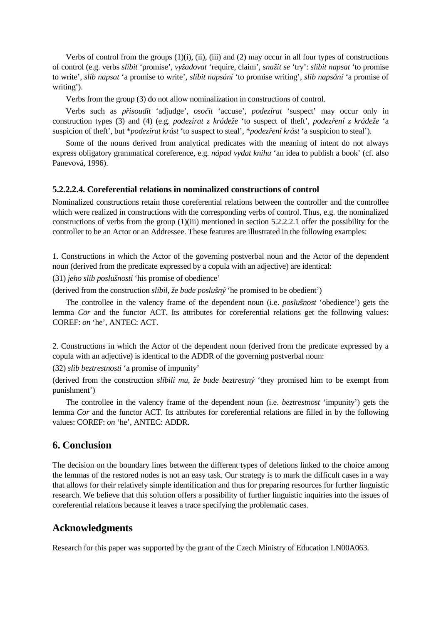Verbs of control from the groups (1)(i), (ii), (iii) and (2) may occur in all four types of constructions of control (e.g. verbs *slíbit* 'promise', *vyžadovat* 'require, claim', *snažit se* 'try': *slíbit napsat* 'to promise to write', *slib napsat* 'a promise to write', *slíbit napsání* 'to promise writing', *slib napsání* 'a promise of writing').

Verbs from the group (3) do not allow nominalization in constructions of control.

 Verbs such as *p*ř*isoudit* 'adjudge', *oso*č*it* 'accuse', *podezírat* 'suspect' may occur only in construction types (3) and (4) (e.g. *podezírat z krádeže* 'to suspect of theft', *podez*ř*ení z krádeže* 'a suspicion of theft', but \**podezírat krást* 'to suspect to steal', \**podez*ř*ení krást* 'a suspicion to steal').

 Some of the nouns derived from analytical predicates with the meaning of intent do not always express obligatory grammatical coreference, e.g. *nápad vydat knihu* 'an idea to publish a book' (cf. also Panevová, 1996).

#### **5.2.2.2.4. Coreferential relations in nominalized constructions of control**

Nominalized constructions retain those coreferential relations between the controller and the controllee which were realized in constructions with the corresponding verbs of control. Thus, e.g. the nominalized constructions of verbs from the group  $(1)(iii)$  mentioned in section 5.2.2.2.1 offer the possibility for the controller to be an Actor or an Addressee. These features are illustrated in the following examples:

1. Constructions in which the Actor of the governing postverbal noun and the Actor of the dependent noun (derived from the predicate expressed by a copula with an adjective) are identical:

(31) *jeho slib poslušnosti* 'his promise of obedience'

(derived from the construction *slíbil, že bude poslušný* 'he promised to be obedient')

 The controllee in the valency frame of the dependent noun (i.e. *poslušnost* 'obedience') gets the lemma *Cor* and the functor ACT. Its attributes for coreferential relations get the following values: COREF: *on* 'he', ANTEC: ACT.

2. Constructions in which the Actor of the dependent noun (derived from the predicate expressed by a copula with an adjective) is identical to the ADDR of the governing postverbal noun:

(32) *slib beztrestnosti* 'a promise of impunity'

(derived from the construction *slíbili mu, že bude beztrestný* 'they promised him to be exempt from punishment')

 The controllee in the valency frame of the dependent noun (i.e. *beztrestnost* 'impunity') gets the lemma *Cor* and the functor ACT. Its attributes for coreferential relations are filled in by the following values: COREF: *on* 'he', ANTEC: ADDR.

## **6. Conclusion**

The decision on the boundary lines between the different types of deletions linked to the choice among the lemmas of the restored nodes is not an easy task. Our strategy is to mark the difficult cases in a way that allows for their relatively simple identification and thus for preparing resources for further linguistic research. We believe that this solution offers a possibility of further linguistic inquiries into the issues of coreferential relations because it leaves a trace specifying the problematic cases.

#### **Acknowledgments**

Research for this paper was supported by the grant of the Czech Ministry of Education LN00A063.